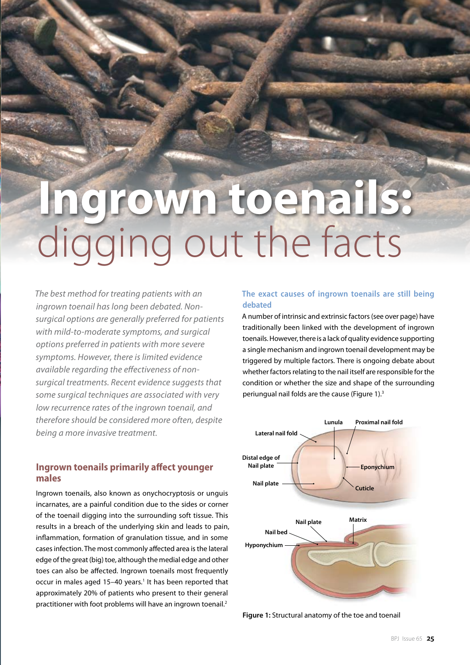# **Ingrown toenails:**  igging out the facts

*The best method for treating patients with an ingrown toenail has long been debated. Nonsurgical options are generally preferred for patients with mild-to-moderate symptoms, and surgical options preferred in patients with more severe symptoms. However, there is limited evidence available regarding the effectiveness of nonsurgical treatments. Recent evidence suggests that some surgical techniques are associated with very low recurrence rates of the ingrown toenail, and therefore should be considered more often, despite being a more invasive treatment.*

# **Ingrown toenails primarily affect younger males**

Ingrown toenails, also known as onychocryptosis or unguis incarnates, are a painful condition due to the sides or corner of the toenail digging into the surrounding soft tissue. This results in a breach of the underlying skin and leads to pain, inflammation, formation of granulation tissue, and in some cases infection. The most commonly affected area is the lateral edge of the great (big) toe, although the medial edge and other toes can also be affected. Ingrown toenails most frequently occur in males aged 15-40 years.<sup>1</sup> It has been reported that approximately 20% of patients who present to their general practitioner with foot problems will have an ingrown toenail.<sup>2</sup>

## **The exact causes of ingrown toenails are still being debated**

A number of intrinsic and extrinsic factors (see over page) have traditionally been linked with the development of ingrown toenails. However, there is a lack of quality evidence supporting a single mechanism and ingrown toenail development may be triggered by multiple factors. There is ongoing debate about whether factors relating to the nail itself are responsible for the condition or whether the size and shape of the surrounding periungual nail folds are the cause (Figure 1).<sup>3</sup>



**Figure 1:** Structural anatomy of the toe and toenail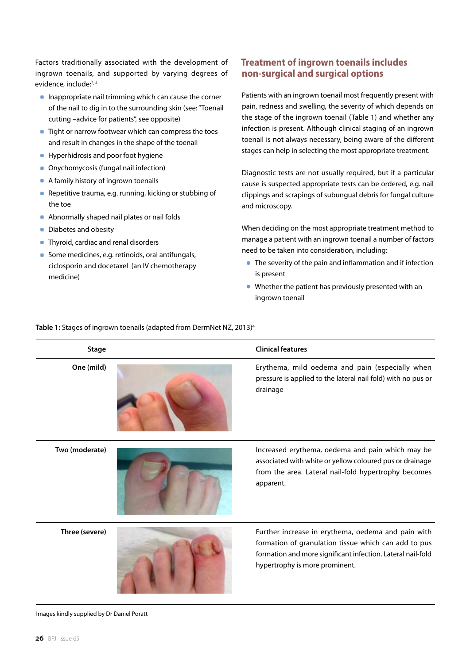Factors traditionally associated with the development of ingrown toenails, and supported by varying degrees of evidence, include:<sup>2,4</sup>

- $\blacksquare$  Inappropriate nail trimming which can cause the corner of the nail to dig in to the surrounding skin (see: "Toenail cutting –advice for patients", see opposite)
- **Tight or narrow footwear which can compress the toes** and result in changes in the shape of the toenail
- **Hyperhidrosis and poor foot hygiene**
- **Onychomycosis (fungal nail infection)**
- A family history of ingrown toenails
- **Repetitive trauma, e.g. running, kicking or stubbing of** the toe
- **Abnormally shaped nail plates or nail folds**
- Diabetes and obesity
- **Thyroid, cardiac and renal disorders**
- Some medicines, e.g. retinoids, oral antifungals, ciclosporin and docetaxel (an IV chemotherapy medicine)

# **Treatment of ingrown toenails includes non-surgical and surgical options**

Patients with an ingrown toenail most frequently present with pain, redness and swelling, the severity of which depends on the stage of the ingrown toenail (Table 1) and whether any infection is present. Although clinical staging of an ingrown toenail is not always necessary, being aware of the different stages can help in selecting the most appropriate treatment.

Diagnostic tests are not usually required, but if a particular cause is suspected appropriate tests can be ordered, e.g. nail clippings and scrapings of subungual debris for fungal culture and microscopy.

When deciding on the most appropriate treatment method to manage a patient with an ingrown toenail a number of factors need to be taken into consideration, including:

- The severity of the pain and inflammation and if infection is present
- Whether the patient has previously presented with an ingrown toenail

#### **Table 1:** Stages of ingrown toenails (adapted from DermNet NZ, 2013)4

| <b>Stage</b>   | <b>Clinical features</b>                                                                                                                                                                                    |
|----------------|-------------------------------------------------------------------------------------------------------------------------------------------------------------------------------------------------------------|
| One (mild)     | Erythema, mild oedema and pain (especially when<br>pressure is applied to the lateral nail fold) with no pus or<br>drainage                                                                                 |
| Two (moderate) | Increased erythema, oedema and pain which may be<br>associated with white or yellow coloured pus or drainage<br>from the area. Lateral nail-fold hypertrophy becomes<br>apparent.                           |
| Three (severe) | Further increase in erythema, oedema and pain with<br>formation of granulation tissue which can add to pus<br>formation and more significant infection. Lateral nail-fold<br>hypertrophy is more prominent. |

Images kindly supplied by Dr Daniel Poratt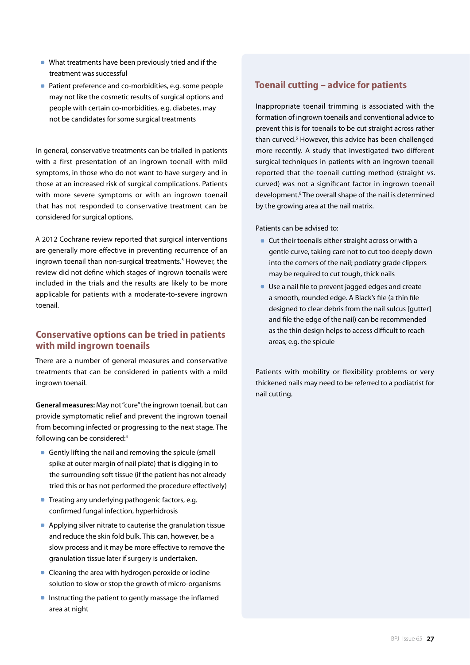- What treatments have been previously tried and if the treatment was successful
- **Patient preference and co-morbidities, e.g. some people** may not like the cosmetic results of surgical options and people with certain co-morbidities, e.g. diabetes, may not be candidates for some surgical treatments

In general, conservative treatments can be trialled in patients with a first presentation of an ingrown toenail with mild symptoms, in those who do not want to have surgery and in those at an increased risk of surgical complications. Patients with more severe symptoms or with an ingrown toenail that has not responded to conservative treatment can be considered for surgical options.

A 2012 Cochrane review reported that surgical interventions are generally more effective in preventing recurrence of an ingrown toenail than non-surgical treatments.<sup>5</sup> However, the review did not define which stages of ingrown toenails were included in the trials and the results are likely to be more applicable for patients with a moderate-to-severe ingrown toenail.

# **Conservative options can be tried in patients with mild ingrown toenails**

There are a number of general measures and conservative treatments that can be considered in patients with a mild ingrown toenail.

**General measures:** May not "cure" the ingrown toenail, but can provide symptomatic relief and prevent the ingrown toenail from becoming infected or progressing to the next stage. The following can be considered:4

- Gently lifting the nail and removing the spicule (small spike at outer margin of nail plate) that is digging in to the surrounding soft tissue (if the patient has not already tried this or has not performed the procedure effectively)
- **Treating any underlying pathogenic factors, e.g.** confirmed fungal infection, hyperhidrosis
- **Applying silver nitrate to cauterise the granulation tissue** and reduce the skin fold bulk. This can, however, be a slow process and it may be more effective to remove the granulation tissue later if surgery is undertaken.
- **Cleaning the area with hydrogen peroxide or iodine** solution to slow or stop the growth of micro-organisms
- **Instructing the patient to gently massage the inflamed** area at night

# **Toenail cutting – advice for patients**

Inappropriate toenail trimming is associated with the formation of ingrown toenails and conventional advice to prevent this is for toenails to be cut straight across rather than curved.<sup>5</sup> However, this advice has been challenged more recently. A study that investigated two different surgical techniques in patients with an ingrown toenail reported that the toenail cutting method (straight vs. curved) was not a significant factor in ingrown toenail development.<sup>6</sup> The overall shape of the nail is determined by the growing area at the nail matrix.

Patients can be advised to:

- Cut their toenails either straight across or with a gentle curve, taking care not to cut too deeply down into the corners of the nail; podiatry grade clippers may be required to cut tough, thick nails
- **Use a nail file to prevent jagged edges and create** a smooth, rounded edge. A Black's file (a thin file designed to clear debris from the nail sulcus [gutter] and file the edge of the nail) can be recommended as the thin design helps to access difficult to reach areas, e.g. the spicule

Patients with mobility or flexibility problems or very thickened nails may need to be referred to a podiatrist for nail cutting.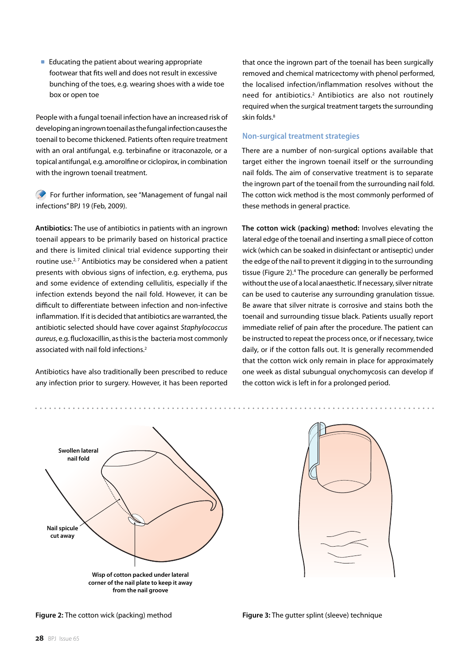$\blacksquare$  Educating the patient about wearing appropriate footwear that fits well and does not result in excessive bunching of the toes, e.g. wearing shoes with a wide toe box or open toe

People with a fungal toenail infection have an increased risk of developing an ingrown toenail as the fungal infection causes the toenail to become thickened. Patients often require treatment with an oral antifungal, e.g. terbinafine or itraconazole, or a topical antifungal, e.g. amorolfine or ciclopirox, in combination with the ingrown toenail treatment.

For further information, see "Management of fungal nail infections" BPJ 19 (Feb, 2009).

**Antibiotics:** The use of antibiotics in patients with an ingrown toenail appears to be primarily based on historical practice and there is limited clinical trial evidence supporting their routine use. $2,7$  Antibiotics may be considered when a patient presents with obvious signs of infection, e.g. erythema, pus and some evidence of extending cellulitis, especially if the infection extends beyond the nail fold. However, it can be difficult to differentiate between infection and non-infective inflammation. If it is decided that antibiotics are warranted, the antibiotic selected should have cover against *Staphylococcus aureus*, e.g. flucloxacillin, as this is the bacteria most commonly associated with nail fold infections.<sup>2</sup>

Antibiotics have also traditionally been prescribed to reduce any infection prior to surgery. However, it has been reported

that once the ingrown part of the toenail has been surgically removed and chemical matricectomy with phenol performed, the localised infection/inflammation resolves without the need for antibiotics.<sup>2</sup> Antibiotics are also not routinely required when the surgical treatment targets the surrounding skin folds.<sup>8</sup>

#### **Non-surgical treatment strategies**

There are a number of non-surgical options available that target either the ingrown toenail itself or the surrounding nail folds. The aim of conservative treatment is to separate the ingrown part of the toenail from the surrounding nail fold. The cotton wick method is the most commonly performed of these methods in general practice.

**The cotton wick (packing) method:** Involves elevating the lateral edge of the toenail and inserting a small piece of cotton wick (which can be soaked in disinfectant or antiseptic) under the edge of the nail to prevent it digging in to the surrounding tissue (Figure 2).<sup>4</sup> The procedure can generally be performed without the use of a local anaesthetic. If necessary, silver nitrate can be used to cauterise any surrounding granulation tissue. Be aware that silver nitrate is corrosive and stains both the toenail and surrounding tissue black. Patients usually report immediate relief of pain after the procedure. The patient can be instructed to repeat the process once, or if necessary, twice daily, or if the cotton falls out. It is generally recommended that the cotton wick only remain in place for approximately one week as distal subungual onychomycosis can develop if the cotton wick is left in for a prolonged period.



**Figure 2:** The cotton wick (packing) method **Figure 3:** The gutter splint (sleeve) technique

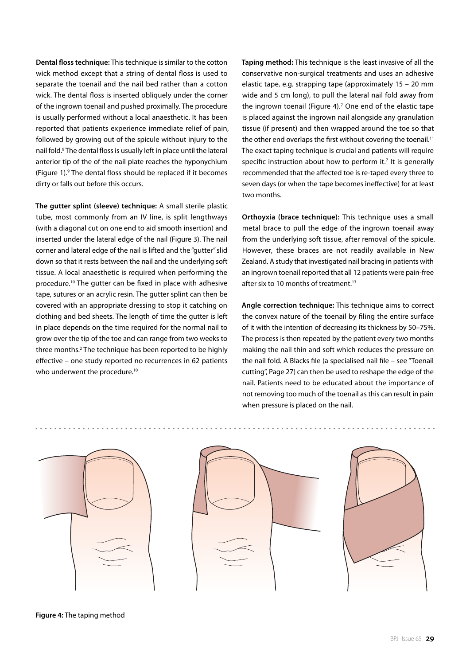**Dental floss technique:** This technique is similar to the cotton wick method except that a string of dental floss is used to separate the toenail and the nail bed rather than a cotton wick. The dental floss is inserted obliquely under the corner of the ingrown toenail and pushed proximally. The procedure is usually performed without a local anaesthetic. It has been reported that patients experience immediate relief of pain, followed by growing out of the spicule without injury to the nail fold.<sup>9</sup> The dental floss is usually left in place until the lateral anterior tip of the of the nail plate reaches the hyponychium (Figure 1).9 The dental floss should be replaced if it becomes dirty or falls out before this occurs.

**The gutter splint (sleeve) technique:** A small sterile plastic tube, most commonly from an IV line, is split lengthways (with a diagonal cut on one end to aid smooth insertion) and inserted under the lateral edge of the nail (Figure 3). The nail corner and lateral edge of the nail is lifted and the "gutter" slid down so that it rests between the nail and the underlying soft tissue. A local anaesthetic is required when performing the procedure.10 The gutter can be fixed in place with adhesive tape, sutures or an acrylic resin. The gutter splint can then be covered with an appropriate dressing to stop it catching on clothing and bed sheets. The length of time the gutter is left in place depends on the time required for the normal nail to grow over the tip of the toe and can range from two weeks to three months.<sup>2</sup> The technique has been reported to be highly effective – one study reported no recurrences in 62 patients who underwent the procedure.<sup>10</sup>

**Taping method:** This technique is the least invasive of all the conservative non-surgical treatments and uses an adhesive elastic tape, e.g. strapping tape (approximately 15 – 20 mm wide and 5 cm long), to pull the lateral nail fold away from the ingrown toenail (Figure 4). $<sup>7</sup>$  One end of the elastic tape</sup> is placed against the ingrown nail alongside any granulation tissue (if present) and then wrapped around the toe so that the other end overlaps the first without covering the toenail.<sup>11</sup> The exact taping technique is crucial and patients will require specific instruction about how to perform it.<sup>7</sup> It is generally recommended that the affected toe is re-taped every three to seven days (or when the tape becomes ineffective) for at least two months.

**Orthoyxia (brace technique):** This technique uses a small metal brace to pull the edge of the ingrown toenail away from the underlying soft tissue, after removal of the spicule. However, these braces are not readily available in New Zealand. A study that investigated nail bracing in patients with an ingrown toenail reported that all 12 patients were pain-free after six to 10 months of treatment.<sup>13</sup>

**Angle correction technique:** This technique aims to correct the convex nature of the toenail by filing the entire surface of it with the intention of decreasing its thickness by 50–75%. The process is then repeated by the patient every two months making the nail thin and soft which reduces the pressure on the nail fold. A Blacks file (a specialised nail file – see "Toenail cutting", Page 27) can then be used to reshape the edge of the nail. Patients need to be educated about the importance of not removing too much of the toenail as this can result in pain when pressure is placed on the nail.







**Figure 4:** The taping method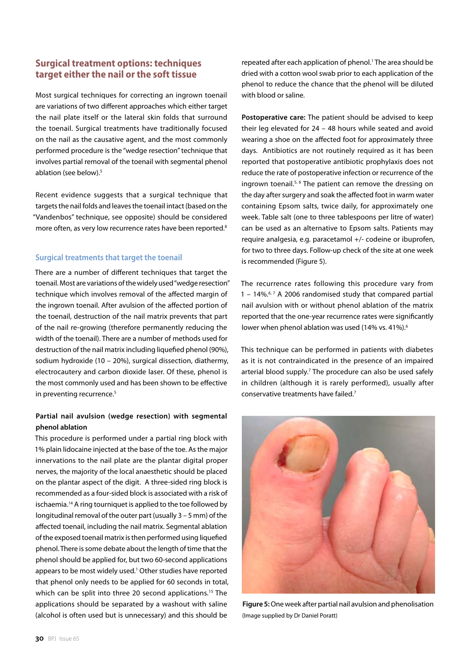## **Surgical treatment options: techniques target either the nail or the soft tissue**

Most surgical techniques for correcting an ingrown toenail are variations of two different approaches which either target the nail plate itself or the lateral skin folds that surround the toenail. Surgical treatments have traditionally focused on the nail as the causative agent, and the most commonly performed procedure is the "wedge resection" technique that involves partial removal of the toenail with segmental phenol ablation (see below).5

Recent evidence suggests that a surgical technique that targets the nail folds and leaves the toenail intact (based on the "Vandenbos" technique, see opposite) should be considered more often, as very low recurrence rates have been reported.<sup>8</sup>

#### **Surgical treatments that target the toenail**

There are a number of different techniques that target the toenail. Most are variations of the widely used "wedge resection" technique which involves removal of the affected margin of the ingrown toenail. After avulsion of the affected portion of the toenail, destruction of the nail matrix prevents that part of the nail re-growing (therefore permanently reducing the width of the toenail). There are a number of methods used for destruction of the nail matrix including liquefied phenol (90%), sodium hydroxide (10 – 20%), surgical dissection, diathermy, electrocautery and carbon dioxide laser. Of these, phenol is the most commonly used and has been shown to be effective in preventing recurrence.<sup>5</sup>

### **Partial nail avulsion (wedge resection) with segmental phenol ablation**

This procedure is performed under a partial ring block with 1% plain lidocaine injected at the base of the toe. As the major innervations to the nail plate are the plantar digital proper nerves, the majority of the local anaesthetic should be placed on the plantar aspect of the digit. A three-sided ring block is recommended as a four-sided block is associated with a risk of ischaemia.14 A ring tourniquet is applied to the toe followed by longitudinal removal of the outer part (usually 3 – 5 mm) of the affected toenail, including the nail matrix. Segmental ablation of the exposed toenail matrix is then performed using liquefied phenol. There is some debate about the length of time that the phenol should be applied for, but two 60-second applications appears to be most widely used.<sup>1</sup> Other studies have reported that phenol only needs to be applied for 60 seconds in total, which can be split into three 20 second applications.<sup>15</sup> The applications should be separated by a washout with saline (alcohol is often used but is unnecessary) and this should be

repeated after each application of phenol.<sup>1</sup> The area should be dried with a cotton wool swab prior to each application of the phenol to reduce the chance that the phenol will be diluted with blood or saline.

**Postoperative care:** The patient should be advised to keep their leg elevated for 24 – 48 hours while seated and avoid wearing a shoe on the affected foot for approximately three days. Antibiotics are not routinely required as it has been reported that postoperative antibiotic prophylaxis does not reduce the rate of postoperative infection or recurrence of the ingrown toenail.<sup>5, 6</sup> The patient can remove the dressing on the day after surgery and soak the affected foot in warm water containing Epsom salts, twice daily, for approximately one week. Table salt (one to three tablespoons per litre of water) can be used as an alternative to Epsom salts. Patients may require analgesia, e.g. paracetamol +/- codeine or ibuprofen, for two to three days. Follow-up check of the site at one week is recommended (Figure 5).

The recurrence rates following this procedure vary from 1 – 14%. $6.7$  A 2006 randomised study that compared partial nail avulsion with or without phenol ablation of the matrix reported that the one-year recurrence rates were significantly lower when phenol ablation was used (14% vs. 41%).<sup>6</sup>

This technique can be performed in patients with diabetes as it is not contraindicated in the presence of an impaired arterial blood supply.<sup>7</sup> The procedure can also be used safely in children (although it is rarely performed), usually after conservative treatments have failed.7



**Figure 5:** One week after partial nail avulsion and phenolisation (Image supplied by Dr Daniel Poratt)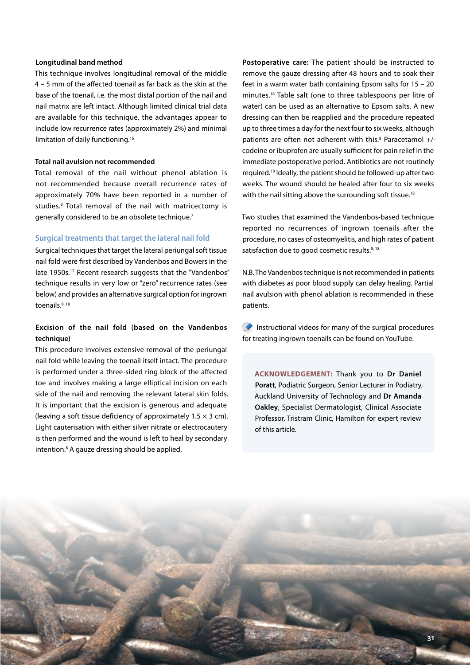#### **Longitudinal band method**

This technique involves longitudinal removal of the middle 4 – 5 mm of the affected toenail as far back as the skin at the base of the toenail, i.e. the most distal portion of the nail and nail matrix are left intact. Although limited clinical trial data are available for this technique, the advantages appear to include low recurrence rates (approximately 2%) and minimal limitation of daily functioning.16

#### **Total nail avulsion not recommended**

Total removal of the nail without phenol ablation is not recommended because overall recurrence rates of approximately 70% have been reported in a number of studies.<sup>8</sup> Total removal of the nail with matricectomy is generally considered to be an obsolete technique.7

#### **Surgical treatments that target the lateral nail fold**

Surgical techniques that target the lateral periungal soft tissue nail fold were first described by Vandenbos and Bowers in the late 1950s.<sup>17</sup> Recent research suggests that the "Vandenbos" technique results in very low or "zero" recurrence rates (see below) and provides an alternative surgical option for ingrown toenails.<sup>8, 18</sup>

#### **Excision of the nail fold (based on the Vandenbos technique)**

This procedure involves extensive removal of the periungal nail fold while leaving the toenail itself intact. The procedure is performed under a three-sided ring block of the affected toe and involves making a large elliptical incision on each side of the nail and removing the relevant lateral skin folds. It is important that the excision is generous and adequate (leaving a soft tissue deficiency of approximately  $1.5 \times 3$  cm). Light cauterisation with either silver nitrate or electrocautery is then performed and the wound is left to heal by secondary intention.<sup>8</sup> A gauze dressing should be applied.

**Postoperative care:** The patient should be instructed to remove the gauze dressing after 48 hours and to soak their feet in a warm water bath containing Epsom salts for  $15 - 20$ minutes.18 Table salt (one to three tablespoons per litre of water) can be used as an alternative to Epsom salts. A new dressing can then be reapplied and the procedure repeated up to three times a day for the next four to six weeks, although patients are often not adherent with this.<sup>8</sup> Paracetamol +/codeine or ibuprofen are usually sufficient for pain relief in the immediate postoperative period. Antibiotics are not routinely required.18 Ideally, the patient should be followed-up after two weeks. The wound should be healed after four to six weeks with the nail sitting above the surrounding soft tissue.<sup>18</sup>

Two studies that examined the Vandenbos-based technique reported no recurrences of ingrown toenails after the procedure, no cases of osteomyelitis, and high rates of patient satisfaction due to good cosmetic results. $8,18$ 

N.B. The Vandenbos technique is not recommended in patients with diabetes as poor blood supply can delay healing. Partial nail avulsion with phenol ablation is recommended in these patients.

Instructional videos for many of the surgical procedures for treating ingrown toenails can be found on YouTube.

**ACKNOWLEDGEMENT:** Thank you to **Dr Daniel Poratt**, Podiatric Surgeon, Senior Lecturer in Podiatry, Auckland University of Technology and **Dr Amanda Oakley**, Specialist Dermatologist, Clinical Associate Professor, Tristram Clinic, Hamilton for expert review of this article.